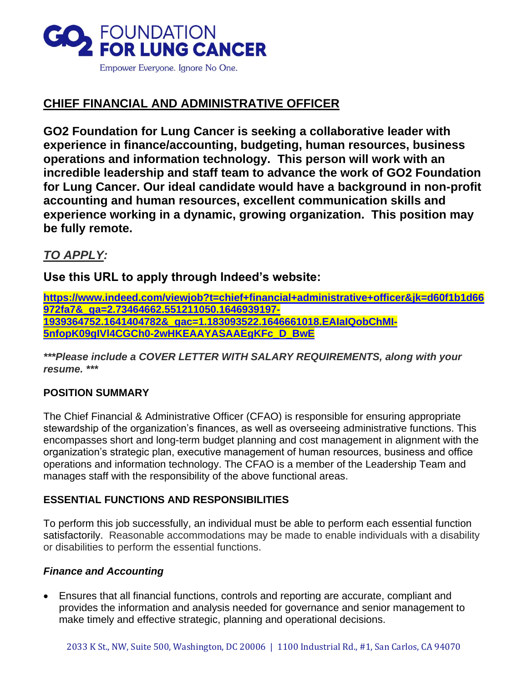

# **CHIEF FINANCIAL AND ADMINISTRATIVE OFFICER**

**GO2 Foundation for Lung Cancer is seeking a collaborative leader with experience in finance/accounting, budgeting, human resources, business operations and information technology. This person will work with an incredible leadership and staff team to advance the work of GO2 Foundation for Lung Cancer. Our ideal candidate would have a background in non-profit accounting and human resources, excellent communication skills and experience working in a dynamic, growing organization. This position may be fully remote.**

# *TO APPLY:*

**Use this URL to apply through Indeed's website:** 

**[https://www.indeed.com/viewjob?t=chief+financial+administrative+officer&jk=d60f1b1d66](https://www.indeed.com/viewjob?t=chief+financial+administrative+officer&jk=d60f1b1d66972fa7&_ga=2.73464662.551211050.1646939197-1939364752.1641404782&_gac=1.183093522.1646661018.EAIaIQobChMI-5nfopK09gIVl4CGCh0-2wHKEAAYASAAEgKFc_D_BwE) [972fa7&\\_ga=2.73464662.551211050.1646939197-](https://www.indeed.com/viewjob?t=chief+financial+administrative+officer&jk=d60f1b1d66972fa7&_ga=2.73464662.551211050.1646939197-1939364752.1641404782&_gac=1.183093522.1646661018.EAIaIQobChMI-5nfopK09gIVl4CGCh0-2wHKEAAYASAAEgKFc_D_BwE) [1939364752.1641404782&\\_gac=1.183093522.1646661018.EAIaIQobChMI-](https://www.indeed.com/viewjob?t=chief+financial+administrative+officer&jk=d60f1b1d66972fa7&_ga=2.73464662.551211050.1646939197-1939364752.1641404782&_gac=1.183093522.1646661018.EAIaIQobChMI-5nfopK09gIVl4CGCh0-2wHKEAAYASAAEgKFc_D_BwE)[5nfopK09gIVl4CGCh0-2wHKEAAYASAAEgKFc\\_D\\_BwE](https://www.indeed.com/viewjob?t=chief+financial+administrative+officer&jk=d60f1b1d66972fa7&_ga=2.73464662.551211050.1646939197-1939364752.1641404782&_gac=1.183093522.1646661018.EAIaIQobChMI-5nfopK09gIVl4CGCh0-2wHKEAAYASAAEgKFc_D_BwE)**

*\*\*\*Please include a COVER LETTER WITH SALARY REQUIREMENTS, along with your resume. \*\*\**

# **POSITION SUMMARY**

The Chief Financial & Administrative Officer (CFAO) is responsible for ensuring appropriate stewardship of the organization's finances, as well as overseeing administrative functions. This encompasses short and long-term budget planning and cost management in alignment with the organization's strategic plan, executive management of human resources, business and office operations and information technology. The CFAO is a member of the Leadership Team and manages staff with the responsibility of the above functional areas.

## **ESSENTIAL FUNCTIONS AND RESPONSIBILITIES**

To perform this job successfully, an individual must be able to perform each essential function satisfactorily. Reasonable accommodations may be made to enable individuals with a disability or disabilities to perform the essential functions.

## *Finance and Accounting*

• Ensures that all financial functions, controls and reporting are accurate, compliant and provides the information and analysis needed for governance and senior management to make timely and effective strategic, planning and operational decisions.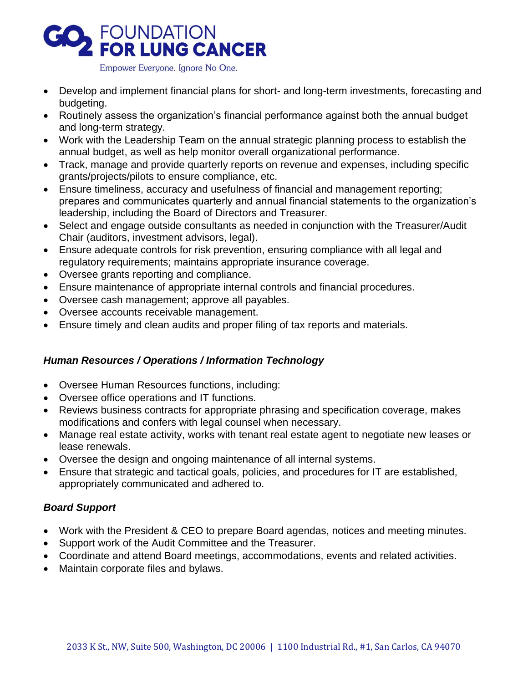

Empower Everyone. Ignore No One.

- Develop and implement financial plans for short- and long-term investments, forecasting and budgeting.
- Routinely assess the organization's financial performance against both the annual budget and long-term strategy.
- Work with the Leadership Team on the annual strategic planning process to establish the annual budget, as well as help monitor overall organizational performance.
- Track, manage and provide quarterly reports on revenue and expenses, including specific grants/projects/pilots to ensure compliance, etc.
- Ensure timeliness, accuracy and usefulness of financial and management reporting; prepares and communicates quarterly and annual financial statements to the organization's leadership, including the Board of Directors and Treasurer.
- Select and engage outside consultants as needed in conjunction with the Treasurer/Audit Chair (auditors, investment advisors, legal).
- Ensure adequate controls for risk prevention, ensuring compliance with all legal and regulatory requirements; maintains appropriate insurance coverage.
- Oversee grants reporting and compliance.
- Ensure maintenance of appropriate internal controls and financial procedures.
- Oversee cash management; approve all payables.
- Oversee accounts receivable management.
- Ensure timely and clean audits and proper filing of tax reports and materials.

## *Human Resources / Operations / Information Technology*

- Oversee Human Resources functions, including:
- Oversee office operations and IT functions.
- Reviews business contracts for appropriate phrasing and specification coverage, makes modifications and confers with legal counsel when necessary.
- Manage real estate activity, works with tenant real estate agent to negotiate new leases or lease renewals.
- Oversee the design and ongoing maintenance of all internal systems.
- Ensure that strategic and tactical goals, policies, and procedures for IT are established, appropriately communicated and adhered to.

## *Board Support*

- Work with the President & CEO to prepare Board agendas, notices and meeting minutes.
- Support work of the Audit Committee and the Treasurer.
- Coordinate and attend Board meetings, accommodations, events and related activities.
- Maintain corporate files and bylaws.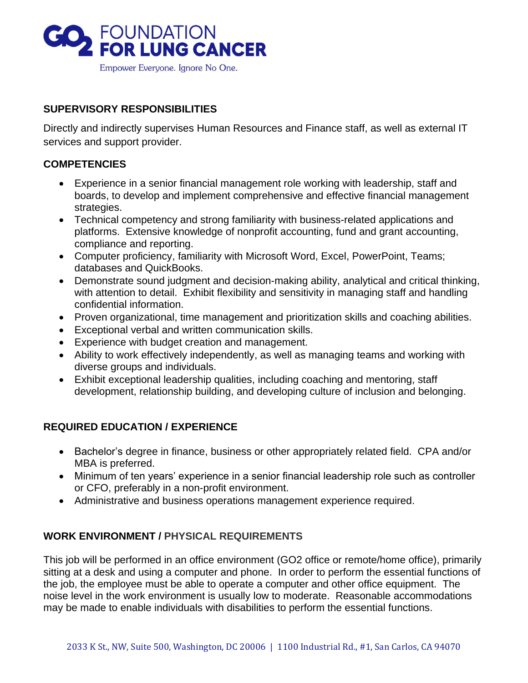

#### **SUPERVISORY RESPONSIBILITIES**

Directly and indirectly supervises Human Resources and Finance staff, as well as external IT services and support provider.

#### **COMPETENCIES**

- Experience in a senior financial management role working with leadership, staff and boards, to develop and implement comprehensive and effective financial management strategies.
- Technical competency and strong familiarity with business-related applications and platforms. Extensive knowledge of nonprofit accounting, fund and grant accounting, compliance and reporting.
- Computer proficiency, familiarity with Microsoft Word, Excel, PowerPoint, Teams; databases and QuickBooks.
- Demonstrate sound judgment and decision-making ability, analytical and critical thinking, with attention to detail. Exhibit flexibility and sensitivity in managing staff and handling confidential information.
- Proven organizational, time management and prioritization skills and coaching abilities.
- Exceptional verbal and written communication skills.
- Experience with budget creation and management.
- Ability to work effectively independently, as well as managing teams and working with diverse groups and individuals.
- Exhibit exceptional leadership qualities, including coaching and mentoring, staff development, relationship building, and developing culture of inclusion and belonging.

#### **REQUIRED EDUCATION / EXPERIENCE**

- Bachelor's degree in finance, business or other appropriately related field. CPA and/or MBA is preferred.
- Minimum of ten years' experience in a senior financial leadership role such as controller or CFO, preferably in a non-profit environment.
- Administrative and business operations management experience required.

#### **WORK ENVIRONMENT / PHYSICAL REQUIREMENTS**

This job will be performed in an office environment (GO2 office or remote/home office), primarily sitting at a desk and using a computer and phone. In order to perform the essential functions of the job, the employee must be able to operate a computer and other office equipment. The noise level in the work environment is usually low to moderate. Reasonable accommodations may be made to enable individuals with disabilities to perform the essential functions.